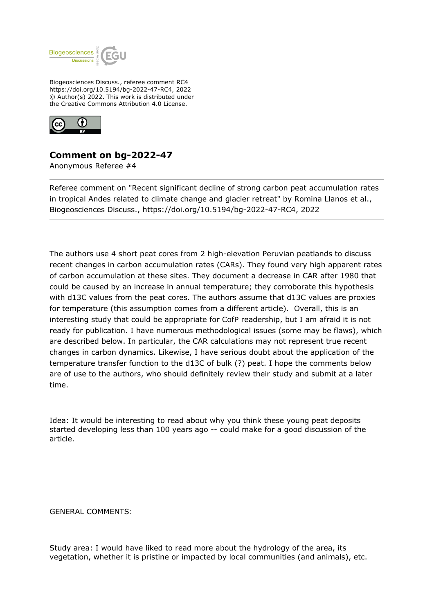

Biogeosciences Discuss., referee comment RC4 https://doi.org/10.5194/bg-2022-47-RC4, 2022 © Author(s) 2022. This work is distributed under the Creative Commons Attribution 4.0 License.



## **Comment on bg-2022-47**

Anonymous Referee #4

Referee comment on "Recent significant decline of strong carbon peat accumulation rates in tropical Andes related to climate change and glacier retreat" by Romina Llanos et al., Biogeosciences Discuss., https://doi.org/10.5194/bg-2022-47-RC4, 2022

The authors use 4 short peat cores from 2 high-elevation Peruvian peatlands to discuss recent changes in carbon accumulation rates (CARs). They found very high apparent rates of carbon accumulation at these sites. They document a decrease in CAR after 1980 that could be caused by an increase in annual temperature; they corroborate this hypothesis with d13C values from the peat cores. The authors assume that d13C values are proxies for temperature (this assumption comes from a different article). Overall, this is an interesting study that could be appropriate for CofP readership, but I am afraid it is not ready for publication. I have numerous methodological issues (some may be flaws), which are described below. In particular, the CAR calculations may not represent true recent changes in carbon dynamics. Likewise, I have serious doubt about the application of the temperature transfer function to the d13C of bulk (?) peat. I hope the comments below are of use to the authors, who should definitely review their study and submit at a later time.

Idea: It would be interesting to read about why you think these young peat deposits started developing less than 100 years ago -- could make for a good discussion of the article.

GENERAL COMMENTS:

Study area: I would have liked to read more about the hydrology of the area, its vegetation, whether it is pristine or impacted by local communities (and animals), etc.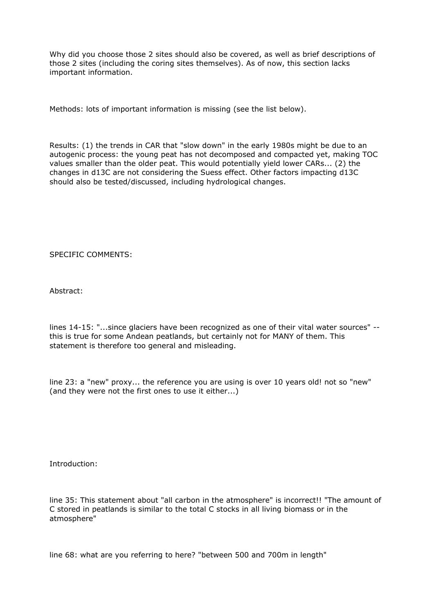Why did you choose those 2 sites should also be covered, as well as brief descriptions of those 2 sites (including the coring sites themselves). As of now, this section lacks important information.

Methods: lots of important information is missing (see the list below).

Results: (1) the trends in CAR that "slow down" in the early 1980s might be due to an autogenic process: the young peat has not decomposed and compacted yet, making TOC values smaller than the older peat. This would potentially yield lower CARs... (2) the changes in d13C are not considering the Suess effect. Other factors impacting d13C should also be tested/discussed, including hydrological changes.

SPECIFIC COMMENTS:

Abstract:

lines 14-15: "...since glaciers have been recognized as one of their vital water sources" - this is true for some Andean peatlands, but certainly not for MANY of them. This statement is therefore too general and misleading.

line 23: a "new" proxy... the reference you are using is over 10 years old! not so "new" (and they were not the first ones to use it either...)

Introduction:

line 35: This statement about "all carbon in the atmosphere" is incorrect!! "The amount of C stored in peatlands is similar to the total C stocks in all living biomass or in the atmosphere"

line 68: what are you referring to here? "between 500 and 700m in length"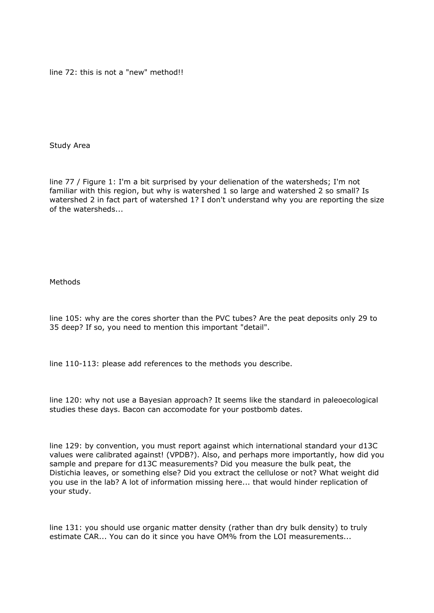line 72: this is not a "new" method!!

Study Area

line 77 / Figure 1: I'm a bit surprised by your delienation of the watersheds; I'm not familiar with this region, but why is watershed 1 so large and watershed 2 so small? Is watershed 2 in fact part of watershed 1? I don't understand why you are reporting the size of the watersheds...

Methods

line 105: why are the cores shorter than the PVC tubes? Are the peat deposits only 29 to 35 deep? If so, you need to mention this important "detail".

line 110-113: please add references to the methods you describe.

line 120: why not use a Bayesian approach? It seems like the standard in paleoecological studies these days. Bacon can accomodate for your postbomb dates.

line 129: by convention, you must report against which international standard your d13C values were calibrated against! (VPDB?). Also, and perhaps more importantly, how did you sample and prepare for d13C measurements? Did you measure the bulk peat, the Distichia leaves, or something else? Did you extract the cellulose or not? What weight did you use in the lab? A lot of information missing here... that would hinder replication of your study.

line 131: you should use organic matter density (rather than dry bulk density) to truly estimate CAR... You can do it since you have OM% from the LOI measurements...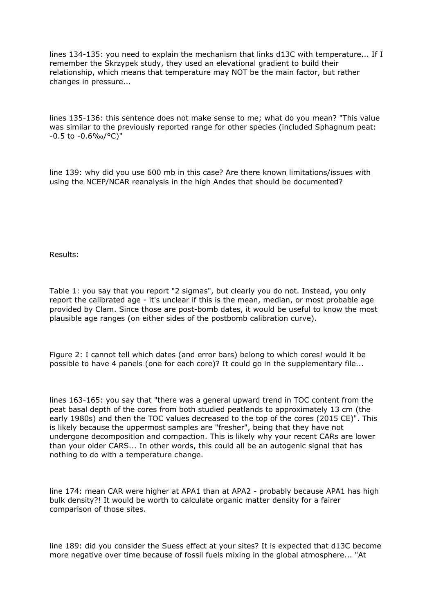lines 134-135: you need to explain the mechanism that links d13C with temperature... If I remember the Skrzypek study, they used an elevational gradient to build their relationship, which means that temperature may NOT be the main factor, but rather changes in pressure...

lines 135-136: this sentence does not make sense to me; what do you mean? "This value was similar to the previously reported range for other species (included Sphagnum peat: -0.5 to -0.6‰/°C)"

line 139: why did you use 600 mb in this case? Are there known limitations/issues with using the NCEP/NCAR reanalysis in the high Andes that should be documented?

Results:

Table 1: you say that you report "2 sigmas", but clearly you do not. Instead, you only report the calibrated age - it's unclear if this is the mean, median, or most probable age provided by Clam. Since those are post-bomb dates, it would be useful to know the most plausible age ranges (on either sides of the postbomb calibration curve).

Figure 2: I cannot tell which dates (and error bars) belong to which cores! would it be possible to have 4 panels (one for each core)? It could go in the supplementary file...

lines 163-165: you say that "there was a general upward trend in TOC content from the peat basal depth of the cores from both studied peatlands to approximately 13 cm (the early 1980s) and then the TOC values decreased to the top of the cores (2015 CE)". This is likely because the uppermost samples are "fresher", being that they have not undergone decomposition and compaction. This is likely why your recent CARs are lower than your older CARS... In other words, this could all be an autogenic signal that has nothing to do with a temperature change.

line 174: mean CAR were higher at APA1 than at APA2 - probably because APA1 has high bulk density?! It would be worth to calculate organic matter density for a fairer comparison of those sites.

line 189: did you consider the Suess effect at your sites? It is expected that d13C become more negative over time because of fossil fuels mixing in the global atmosphere... "At